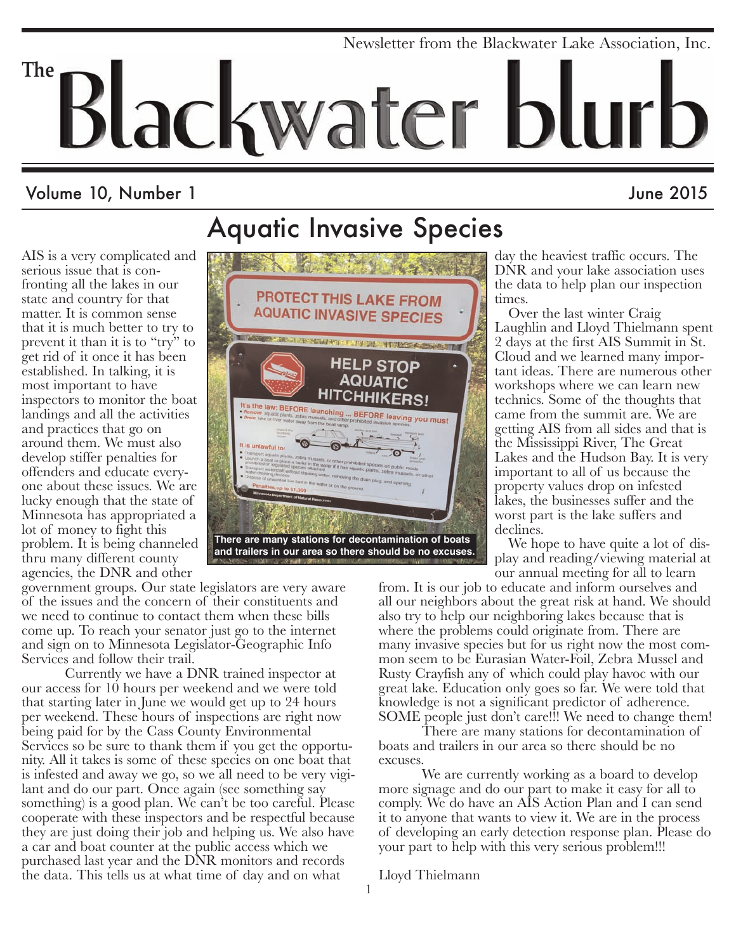# Newsletter from the Blackwater Lake Association, Inc. **The** lackwater blurb

Aquatic Invasive Species

## Volume 10, Number 1 June 2015

AIS is a very complicated and serious issue that is confronting all the lakes in our state and country for that matter. It is common sense that it is much better to try to prevent it than it is to "try" to get rid of it once it has been established. In talking, it is most important to have inspectors to monitor the boat landings and all the activities and practices that go on around them. We must also develop stiffer penalties for offenders and educate everyone about these issues. We are lucky enough that the state of Minnesota has appropriated a lot of money to fight this problem. It is being channeled thru many different county agencies, the DNR and other



day the heaviest traffic occurs. The DNR and your lake association uses the data to help plan our inspection times.

Over the last winter Craig Laughlin and Lloyd Thielmann spent 2 days at the first AIS Summit in St. Cloud and we learned many important ideas. There are numerous other workshops where we can learn new technics. Some of the thoughts that came from the summit are. We are getting AIS from all sides and that is the Mississippi River, The Great Lakes and the Hudson Bay. It is very important to all of us because the property values drop on infested lakes, the businesses suffer and the worst part is the lake suffers and declines.

We hope to have quite a lot of display and reading/viewing material at our annual meeting for all to learn

from. It is our job to educate and inform ourselves and all our neighbors about the great risk at hand. We should also try to help our neighboring lakes because that is where the problems could originate from. There are many invasive species but for us right now the most common seem to be Eurasian Water-Foil, Zebra Mussel and Rusty Crayfish any of which could play havoc with our great lake. Education only goes so far. We were told that knowledge is not a significant predictor of adherence. SOME people just don't care!!! We need to change them!

There are many stations for decontamination of boats and trailers in our area so there should be no excuses.

We are currently working as a board to develop more signage and do our part to make it easy for all to comply. We do have an AIS Action Plan and I can send it to anyone that wants to view it. We are in the process of developing an early detection response plan. Please do your part to help with this very serious problem!!!

Lloyd Thielmann

government groups. Our state legislators are very aware of the issues and the concern of their constituents and we need to continue to contact them when these bills come up. To reach your senator just go to the internet and sign on to Minnesota Legislator-Geographic Info Services and follow their trail.

Currently we have a DNR trained inspector at our access for 10 hours per weekend and we were told that starting later in June we would get up to 24 hours per weekend. These hours of inspections are right now being paid for by the Cass County Environmental Services so be sure to thank them if you get the opportunity. All it takes is some of these species on one boat that is infested and away we go, so we all need to be very vigilant and do our part. Once again (see something say something) is a good plan. We can't be too careful. Please cooperate with these inspectors and be respectful because they are just doing their job and helping us. We also have a car and boat counter at the public access which we purchased last year and the DNR monitors and records the data. This tells us at what time of day and on what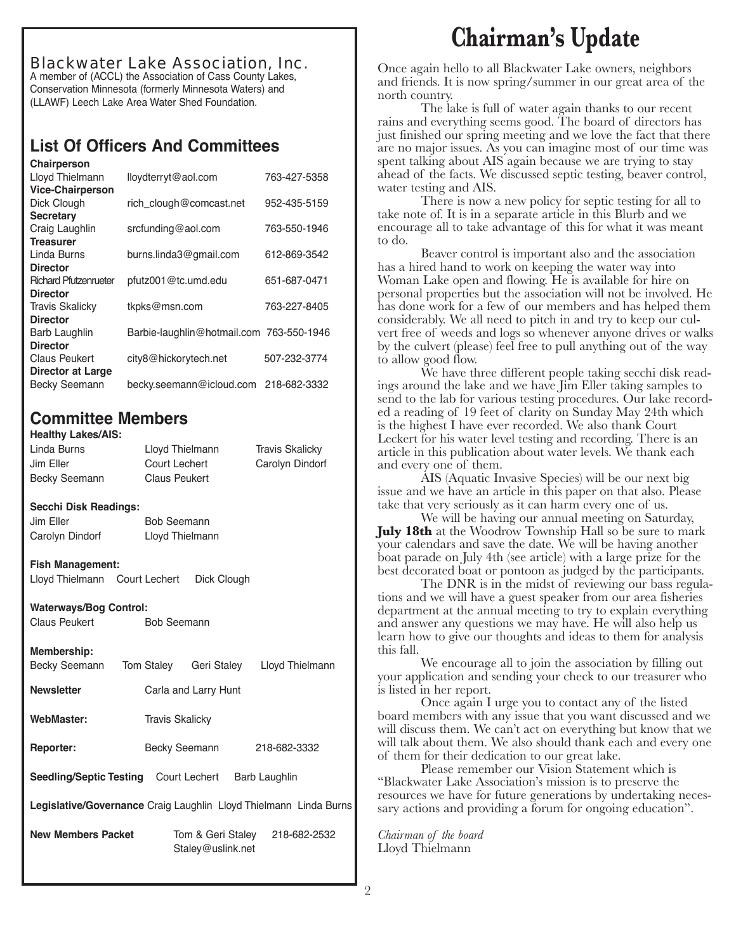Blackwater Lake Association, Inc. A member of (ACCL) the Association of Cass County Lakes, Conservation Minnesota (formerly Minnesota Waters) and (LLAWF) Leech Lake Area Water Shed Foundation.

### **List Of Officers And Committees**

| Chairperson                  |                                          |              |
|------------------------------|------------------------------------------|--------------|
| Lloyd Thielmann              | lloydterryt@aol.com                      | 763-427-5358 |
| <b>Vice-Chairperson</b>      |                                          |              |
| Dick Clough                  | rich_clough@comcast.net                  | 952-435-5159 |
| <b>Secretary</b>             |                                          |              |
| Craig Laughlin               | srcfunding@aol.com                       | 763-550-1946 |
| <b>Treasurer</b>             |                                          |              |
| Linda Burns                  | burns.linda3@gmail.com                   | 612-869-3542 |
| <b>Director</b>              |                                          |              |
| <b>Richard Pfutzenrueter</b> | pfutz001@tc.umd.edu                      | 651-687-0471 |
| <b>Director</b>              |                                          |              |
| <b>Travis Skalicky</b>       | tkpks@msn.com                            | 763-227-8405 |
| <b>Director</b>              |                                          |              |
| Barb Laughlin                | Barbie-laughlin@hotmail.com 763-550-1946 |              |
| <b>Director</b>              |                                          |              |
| <b>Claus Peukert</b>         | city8@hickorytech.net                    | 507-232-3774 |
| <b>Director at Large</b>     |                                          |              |
| <b>Becky Seemann</b>         | becky.seemann@icloud.com                 | 218-682-3332 |

### **Committee Members**

### **Healthy Lakes/AIS:**

Linda Burns Lloyd Thielmann Travis Skalicky Jim Eller Court Lechert Carolyn Dindorf Becky Seemann Claus Peukert

#### **Secchi Disk Readings:**

Jim Eller **Bob Seemann** Carolyn Dindorf Lloyd Thielmann

#### **Fish Management:**

Lloyd Thielmann Court Lechert Dick Clough

### **Waterways/Bog Control:**

Claus Peukert Bob Seemann

#### **Membership:**

| Becky Seemann                                                     | <b>Tom Stalev</b>      | Geri Stalev                            | Lloyd Thielmann |  |  |
|-------------------------------------------------------------------|------------------------|----------------------------------------|-----------------|--|--|
| <b>Newsletter</b>                                                 |                        | Carla and Larry Hunt                   |                 |  |  |
| WebMaster:                                                        | <b>Travis Skalicky</b> |                                        |                 |  |  |
| <b>Reporter:</b>                                                  | Becky Seemann          |                                        | 218-682-3332    |  |  |
| <b>Seedling/Septic Testing</b> Court Lechert                      |                        |                                        | Barb Laughlin   |  |  |
| Legislative/Governance Craig Laughlin Lloyd Thielmann Linda Burns |                        |                                        |                 |  |  |
| <b>New Members Packet</b>                                         |                        | Tom & Geri Staley<br>Staley@uslink.net | 218-682-2532    |  |  |

**Chairman's Update**

Once again hello to all Blackwater Lake owners, neighbors and friends. It is now spring/summer in our great area of the north country.

The lake is full of water again thanks to our recent rains and everything seems good. The board of directors has just finished our spring meeting and we love the fact that there are no major issues. As you can imagine most of our time was spent talking about AIS again because we are trying to stay ahead of the facts. We discussed septic testing, beaver control, water testing and AIS.

There is now a new policy for septic testing for all to take note of. It is in a separate article in this Blurb and we encourage all to take advantage of this for what it was meant to do.

Beaver control is important also and the association has a hired hand to work on keeping the water way into Woman Lake open and flowing. He is available for hire on personal properties but the association will not be involved. He has done work for a few of our members and has helped them considerably. We all need to pitch in and try to keep our culvert free of weeds and logs so whenever anyone drives or walks by the culvert (please) feel free to pull anything out of the way to allow good flow.

We have three different people taking secchi disk readings around the lake and we have Jim Eller taking samples to send to the lab for various testing procedures. Our lake recorded a reading of 19 feet of clarity on Sunday May 24th which is the highest I have ever recorded. We also thank Court Leckert for his water level testing and recording. There is an article in this publication about water levels. We thank each and every one of them.

AIS (Aquatic Invasive Species) will be our next big issue and we have an article in this paper on that also. Please take that very seriously as it can harm every one of us.

We will be having our annual meeting on Saturday, **July 18th** at the Woodrow Township Hall so be sure to mark your calendars and save the date. We will be having another boat parade on July 4th (see article) with a large prize for the best decorated boat or pontoon as judged by the participants.

The DNR is in the midst of reviewing our bass regulations and we will have a guest speaker from our area fisheries department at the annual meeting to try to explain everything and answer any questions we may have. He will also help us learn how to give our thoughts and ideas to them for analysis this fall.

We encourage all to join the association by filling out your application and sending your check to our treasurer who is listed in her report.

Once again I urge you to contact any of the listed board members with any issue that you want discussed and we will discuss them. We can't act on everything but know that we will talk about them. We also should thank each and every one of them for their dedication to our great lake.

Please remember our Vision Statement which is "Blackwater Lake Association's mission is to preserve the resources we have for future generations by undertaking necessary actions and providing a forum for ongoing education".

*Chairman of the board* Lloyd Thielmann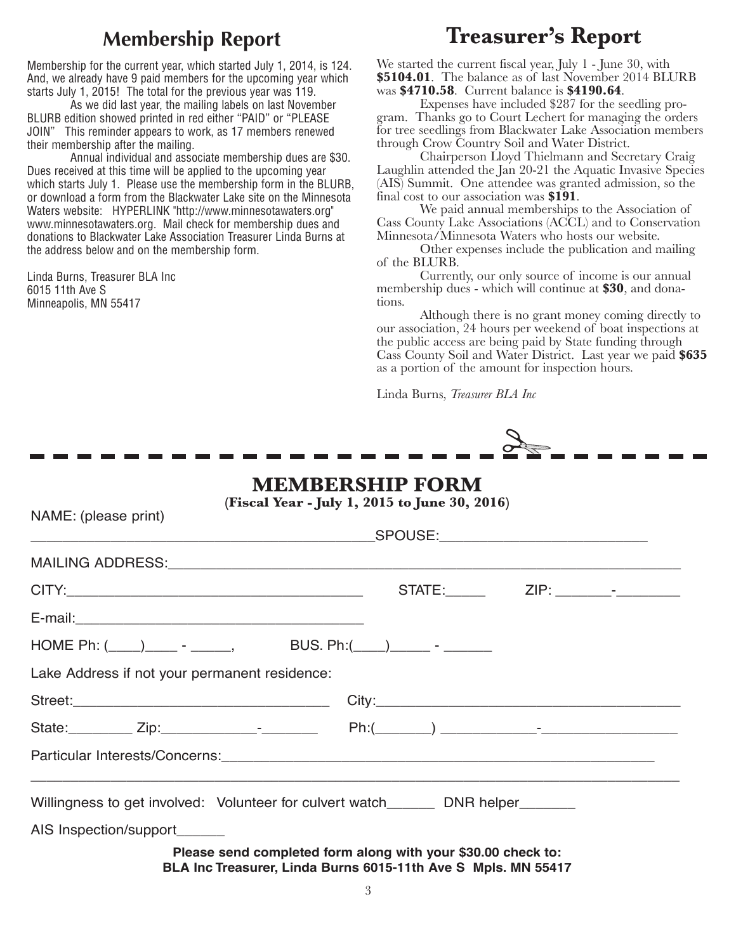## **Membership Report**

Membership for the current year, which started July 1, 2014, is 124. And, we already have 9 paid members for the upcoming year which starts July 1, 2015! The total for the previous year was 119.

As we did last year, the mailing labels on last November BLURB edition showed printed in red either "PAID" or "PLEASE JOIN" This reminder appears to work, as 17 members renewed their membership after the mailing.

Annual individual and associate membership dues are \$30. Dues received at this time will be applied to the upcoming year which starts July 1. Please use the membership form in the BLURB, or download a form from the Blackwater Lake site on the Minnesota Waters website: HYPERLINK "http://www.minnesotawaters.org" www.minnesotawaters.org. Mail check for membership dues and donations to Blackwater Lake Association Treasurer Linda Burns at the address below and on the membership form.

Linda Burns, Treasurer BLA Inc 6015 11th Ave S Minneapolis, MN 55417

NAME: (please print)

## **Treasurer's Report**

We started the current fiscal year, July 1 - June 30, with **\$5104.01**. The balance as of last November 2014 BLURB was **\$4710.58**. Current balance is **\$4190.64**.

Expenses have included \$287 for the seedling program. Thanks go to Court Lechert for managing the orders for tree seedlings from Blackwater Lake Association members through Crow Country Soil and Water District.

Chairperson Lloyd Thielmann and Secretary Craig Laughlin attended the Jan 20-21 the Aquatic Invasive Species (AIS) Summit. One attendee was granted admission, so the final cost to our association was **\$191**.

We paid annual memberships to the Association of Cass County Lake Associations (ACCL) and to Conservation Minnesota/Minnesota Waters who hosts our website.

Other expenses include the publication and mailing of the BLURB.

Currently, our only source of income is our annual membership dues - which will continue at **\$30**, and donations.

Although there is no grant money coming directly to our association, 24 hours per weekend of boat inspections at the public access are being paid by State funding through Cass County Soil and Water District. Last year we paid **\$635** as a portion of the amount for inspection hours.

Linda Burns, *Treasurer BLA Inc* 



### **MEMBERSHIP FORM**

**(Fiscal Year - July 1, 2015 to June 30, 2016)**

| HOME Ph: $(\_\_\_\_\_\_\_$ - ____, BUS. Ph: $(\_\_\_\_\_\_\_$ - _____                                                         |  |  |
|-------------------------------------------------------------------------------------------------------------------------------|--|--|
| Lake Address if not your permanent residence:                                                                                 |  |  |
|                                                                                                                               |  |  |
|                                                                                                                               |  |  |
|                                                                                                                               |  |  |
| Willingness to get involved: Volunteer for culvert watch_______ DNR helper______                                              |  |  |
| AIS Inspection/support_______                                                                                                 |  |  |
| Please send completed form along with your \$30.00 check to:<br>BLA Inc Treasurer, Linda Burns 6015-11th Ave S Mpls. MN 55417 |  |  |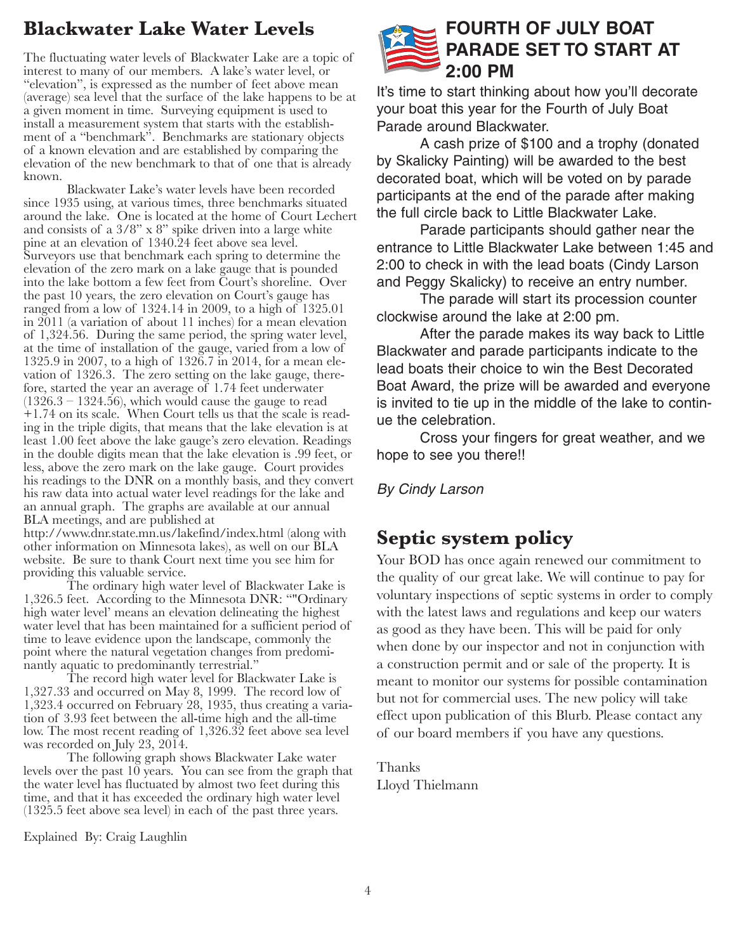## **Blackwater Lake Water Levels**

The fluctuating water levels of Blackwater Lake are a topic of interest to many of our members. A lake's water level, or "elevation", is expressed as the number of feet above mean (average) sea level that the surface of the lake happens to be at a given moment in time. Surveying equipment is used to install a measurement system that starts with the establishment of a "benchmark". Benchmarks are stationary objects of a known elevation and are established by comparing the elevation of the new benchmark to that of one that is already known.

Blackwater Lake's water levels have been recorded since 1935 using, at various times, three benchmarks situated around the lake. One is located at the home of Court Lechert and consists of a 3/8" x 8" spike driven into a large white pine at an elevation of 1340.24 feet above sea level. Surveyors use that benchmark each spring to determine the elevation of the zero mark on a lake gauge that is pounded into the lake bottom a few feet from Court's shoreline. Over the past 10 years, the zero elevation on Court's gauge has ranged from a low of 1324.14 in 2009, to a high of 1325.01 in 2011 (a variation of about 11 inches) for a mean elevation of 1,324.56. During the same period, the spring water level, at the time of installation of the gauge, varied from a low of 1325.9 in 2007, to a high of 1326.7 in 2014, for a mean elevation of 1326.3. The zero setting on the lake gauge, therefore, started the year an average of 1.74 feet underwater  $(1326.3 - 1324.56)$ , which would cause the gauge to read +1.74 on its scale. When Court tells us that the scale is reading in the triple digits, that means that the lake elevation is at least 1.00 feet above the lake gauge's zero elevation. Readings in the double digits mean that the lake elevation is .99 feet, or less, above the zero mark on the lake gauge. Court provides his readings to the DNR on a monthly basis, and they convert his raw data into actual water level readings for the lake and an annual graph. The graphs are available at our annual BLA meetings, and are published at

http://www.dnr.state.mn.us/lakefind/index.html (along with other information on Minnesota lakes), as well on our BLA website. Be sure to thank Court next time you see him for providing this valuable service.

The ordinary high water level of Blackwater Lake is 1,326.5 feet. According to the Minnesota DNR: ""Ordinary high water level' means an elevation delineating the highest water level that has been maintained for a sufficient period of time to leave evidence upon the landscape, commonly the point where the natural vegetation changes from predominantly aquatic to predominantly terrestrial."

The record high water level for Blackwater Lake is 1,327.33 and occurred on May 8, 1999. The record low of 1,323.4 occurred on February 28, 1935, thus creating a variation of 3.93 feet between the all-time high and the all-time low. The most recent reading of 1,326.32 feet above sea level was recorded on July 23, 2014.

The following graph shows Blackwater Lake water levels over the past 10 years. You can see from the graph that the water level has fluctuated by almost two feet during this time, and that it has exceeded the ordinary high water level (1325.5 feet above sea level) in each of the past three years.

Explained By: Craig Laughlin

## **FOURTH OF JULY BOAT PARADE SET TO START AT 2:00 PM**

It's time to start thinking about how you'll decorate your boat this year for the Fourth of July Boat Parade around Blackwater.

A cash prize of \$100 and a trophy (donated by Skalicky Painting) will be awarded to the best decorated boat, which will be voted on by parade participants at the end of the parade after making the full circle back to Little Blackwater Lake.

Parade participants should gather near the entrance to Little Blackwater Lake between 1:45 and 2:00 to check in with the lead boats (Cindy Larson and Peggy Skalicky) to receive an entry number.

The parade will start its procession counter clockwise around the lake at 2:00 pm.

After the parade makes its way back to Little Blackwater and parade participants indicate to the lead boats their choice to win the Best Decorated Boat Award, the prize will be awarded and everyone is invited to tie up in the middle of the lake to continue the celebration.

Cross your fingers for great weather, and we hope to see you there!!

*By Cindy Larson* 

## **Septic system policy**

Your BOD has once again renewed our commitment to the quality of our great lake. We will continue to pay for voluntary inspections of septic systems in order to comply with the latest laws and regulations and keep our waters as good as they have been. This will be paid for only when done by our inspector and not in conjunction with a construction permit and or sale of the property. It is meant to monitor our systems for possible contamination but not for commercial uses. The new policy will take effect upon publication of this Blurb. Please contact any of our board members if you have any questions.

Thanks Lloyd Thielmann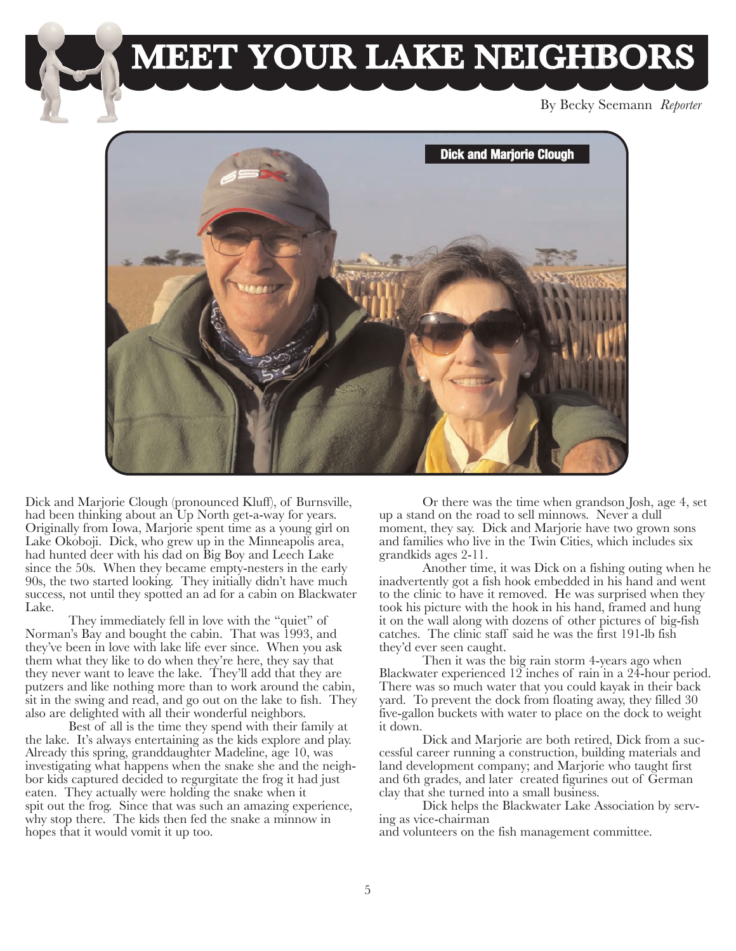

By Becky Seemann *Reporter*



Dick and Marjorie Clough (pronounced Kluff), of Burnsville, had been thinking about an Up North get-a-way for years. Originally from Iowa, Marjorie spent time as a young girl on Lake Okoboji. Dick, who grew up in the Minneapolis area, had hunted deer with his dad on Big Boy and Leech Lake since the 50s. When they became empty-nesters in the early 90s, the two started looking. They initially didn't have much success, not until they spotted an ad for a cabin on Blackwater Lake.

They immediately fell in love with the "quiet" of Norman's Bay and bought the cabin. That was 1993, and they've been in love with lake life ever since. When you ask them what they like to do when they're here, they say that they never want to leave the lake. They'll add that they are putzers and like nothing more than to work around the cabin, sit in the swing and read, and go out on the lake to fish. They also are delighted with all their wonderful neighbors.

Best of all is the time they spend with their family at the lake. It's always entertaining as the kids explore and play. Already this spring, granddaughter Madeline, age 10, was investigating what happens when the snake she and the neighbor kids captured decided to regurgitate the frog it had just eaten. They actually were holding the snake when it spit out the frog. Since that was such an amazing experience, why stop there. The kids then fed the snake a minnow in hopes that it would vomit it up too.

Or there was the time when grandson Josh, age 4, set up a stand on the road to sell minnows. Never a dull moment, they say. Dick and Marjorie have two grown sons and families who live in the Twin Cities, which includes six grandkids ages 2-11.

Another time, it was Dick on a fishing outing when he inadvertently got a fish hook embedded in his hand and went to the clinic to have it removed. He was surprised when they took his picture with the hook in his hand, framed and hung it on the wall along with dozens of other pictures of big-fish catches. The clinic staff said he was the first 191-lb fish they'd ever seen caught.

Then it was the big rain storm 4-years ago when Blackwater experienced 12 inches of rain in a 24-hour period. There was so much water that you could kayak in their back yard. To prevent the dock from floating away, they filled 30 five-gallon buckets with water to place on the dock to weight it down.

Dick and Marjorie are both retired, Dick from a successful career running a construction, building materials and land development company; and Marjorie who taught first and 6th grades, and later created figurines out of German clay that she turned into a small business.

Dick helps the Blackwater Lake Association by serving as vice-chairman

and volunteers on the fish management committee.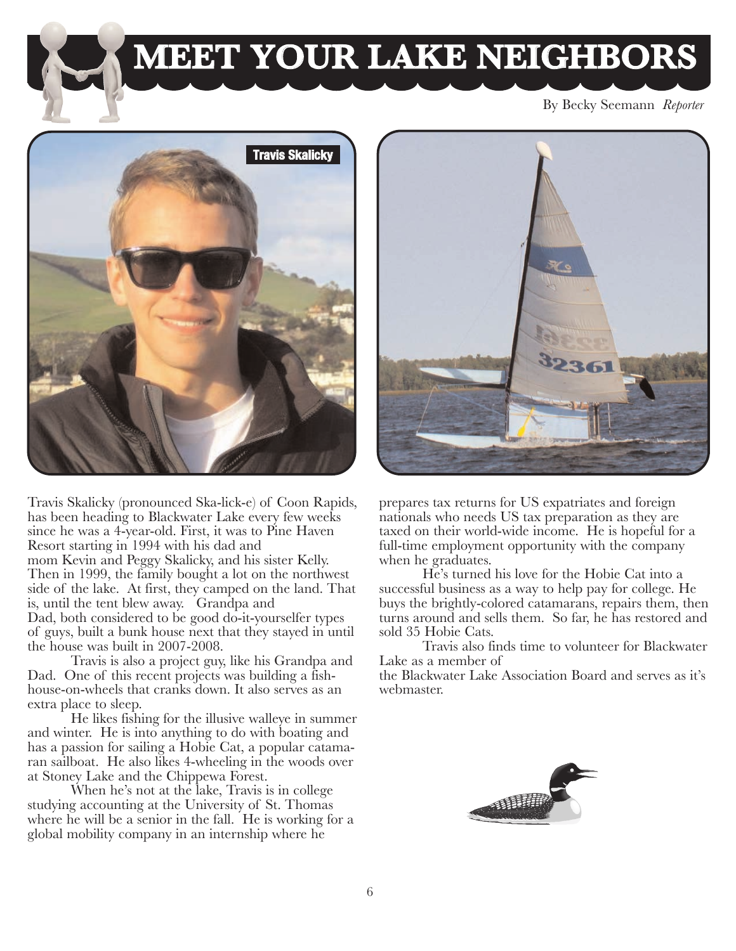

## **MEET YOUR LAKE NEIGHBORS**

By Becky Seemann *Reporter*



Travis Skalicky (pronounced Ska-lick-e) of Coon Rapids, has been heading to Blackwater Lake every few weeks since he was a 4-year-old. First, it was to Pine Haven Resort starting in 1994 with his dad and mom Kevin and Peggy Skalicky, and his sister Kelly. Then in 1999, the family bought a lot on the northwest side of the lake. At first, they camped on the land. That is, until the tent blew away. Grandpa and Dad, both considered to be good do-it-yourselfer types of guys, built a bunk house next that they stayed in until the house was built in 2007-2008.

Travis is also a project guy, like his Grandpa and Dad. One of this recent projects was building a fishhouse-on-wheels that cranks down. It also serves as an extra place to sleep.

He likes fishing for the illusive walleye in summer and winter. He is into anything to do with boating and has a passion for sailing a Hobie Cat, a popular catamaran sailboat. He also likes 4-wheeling in the woods over at Stoney Lake and the Chippewa Forest.

When he's not at the lake, Travis is in college studying accounting at the University of St. Thomas where he will be a senior in the fall. He is working for a global mobility company in an internship where he



prepares tax returns for US expatriates and foreign nationals who needs US tax preparation as they are taxed on their world-wide income. He is hopeful for a full-time employment opportunity with the company when he graduates.

He's turned his love for the Hobie Cat into a successful business as a way to help pay for college. He buys the brightly-colored catamarans, repairs them, then turns around and sells them. So far, he has restored and sold 35 Hobie Cats.

Travis also finds time to volunteer for Blackwater Lake as a member of

the Blackwater Lake Association Board and serves as it's webmaster.

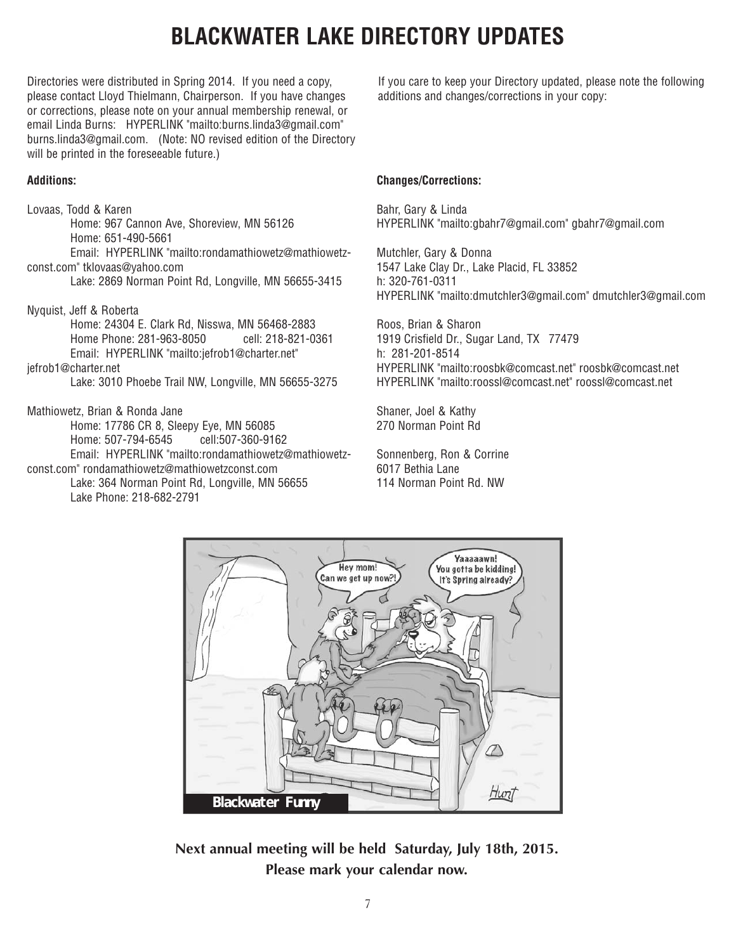## **BLACKWATER LAKE DIRECTORY UPDATES**

Directories were distributed in Spring 2014. If you need a copy, please contact Lloyd Thielmann, Chairperson. If you have changes or corrections, please note on your annual membership renewal, or email Linda Burns: HYPERLINK "mailto:burns.linda3@gmail.com" burns.linda3@gmail.com. (Note: NO revised edition of the Directory will be printed in the foreseeable future.)

### **Additions:**

Lovaas, Todd & Karen Home: 967 Cannon Ave, Shoreview, MN 56126 Home: 651-490-5661 Email: HYPERLINK "mailto:rondamathiowetz@mathiowetzconst.com" tklovaas@yahoo.com Lake: 2869 Norman Point Rd, Longville, MN 56655-3415 Nyquist, Jeff & Roberta Home: 24304 E. Clark Rd, Nisswa, MN 56468-2883 Home Phone: 281-963-8050 cell: 218-821-0361 Email: HYPERLINK "mailto:jefrob1@charter.net" jefrob1@charter.net Lake: 3010 Phoebe Trail NW, Longville, MN 56655-3275 Mathiowetz, Brian & Ronda Jane Home: 17786 CR 8, Sleepy Eye, MN 56085

Home: 507-794-6545 cell:507-360-9162 Email: HYPERLINK "mailto:rondamathiowetz@mathiowetzconst.com" rondamathiowetz@mathiowetzconst.com Lake: 364 Norman Point Rd, Longville, MN 56655 Lake Phone: 218-682-2791

If you care to keep your Directory updated, please note the following additions and changes/corrections in your copy:

### **Changes/Corrections:**

Bahr, Gary & Linda HYPERLINK "mailto:gbahr7@gmail.com" gbahr7@gmail.com

Mutchler, Gary & Donna 1547 Lake Clay Dr., Lake Placid, FL 33852 h: 320-761-0311 HYPERLINK "mailto:dmutchler3@gmail.com" dmutchler3@gmail.com

Roos, Brian & Sharon 1919 Crisfield Dr., Sugar Land, TX 77479 h: 281-201-8514 HYPERLINK "mailto:roosbk@comcast.net" roosbk@comcast.net HYPERLINK "mailto:roossl@comcast.net" roossl@comcast.net

Shaner, Joel & Kathy 270 Norman Point Rd

Sonnenberg, Ron & Corrine 6017 Bethia Lane 114 Norman Point Rd. NW



**Next annual meeting will be held Saturday, July 18th, 2015. Please mark your calendar now.**